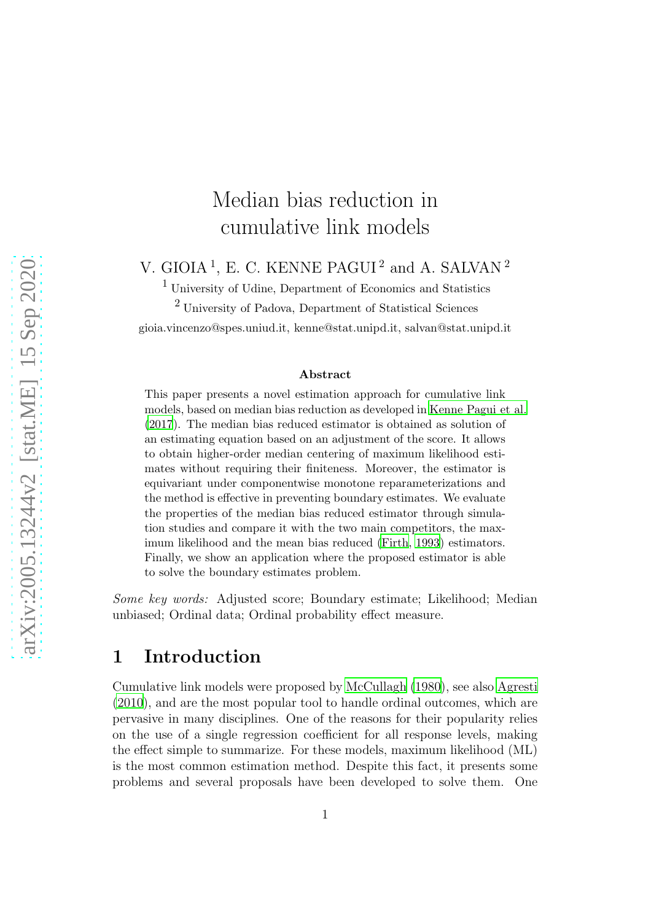# Median bias reduction in cumulative link models

V. GIOIA<sup>1</sup>, E. C. KENNE PAGUI<sup>2</sup> and A. SALVAN<sup>2</sup>

 $^{\rm 1}$  University of Udine, Department of Economics and Statistics

<sup>2</sup> University of Padova, Department of Statistical Sciences gioia.vincenzo@spes.uniud.it, kenne@stat.unipd.it, salvan@stat.unipd.it

#### Abstract

This paper presents a novel estimation approach for cumulative link models, based on median bias reduction as developed in Kenne [Pagui et al.](#page-10-0) [\(2017](#page-10-0)). The median bias reduced estimator is obtained as solution of an estimating equation based on an adjustment of the score. It allows to obtain higher-order median centering of maximum likelihood estimates without requiring their finiteness. Moreover, the estimator is equivariant under componentwise monotone reparameterizations and the method is effective in preventing boundary estimates. We evaluate the properties of the median bias reduced estimator through simulation studies and compare it with the two main competitors, the maximum likelihood and the mean bias reduced [\(Firth, 1993\)](#page-10-1) estimators. Finally, we show an application where the proposed estimator is able to solve the boundary estimates problem.

*Some key words:* Adjusted score; Boundary estimate; Likelihood; Median unbiased; Ordinal data; Ordinal probability effect measure.

### 1 Introduction

Cumulative link models were proposed by [McCullagh \(1980\)](#page-10-2), see also [Agresti](#page-9-0) [\(2010\)](#page-9-0), and are the most popular tool to handle ordinal outcomes, which are pervasive in many disciplines. One of the reasons for their popularity relies on the use of a single regression coefficient for all response levels, making the effect simple to summarize. For these models, maximum likelihood (ML) is the most common estimation method. Despite this fact, it presents some problems and several proposals have been developed to solve them. One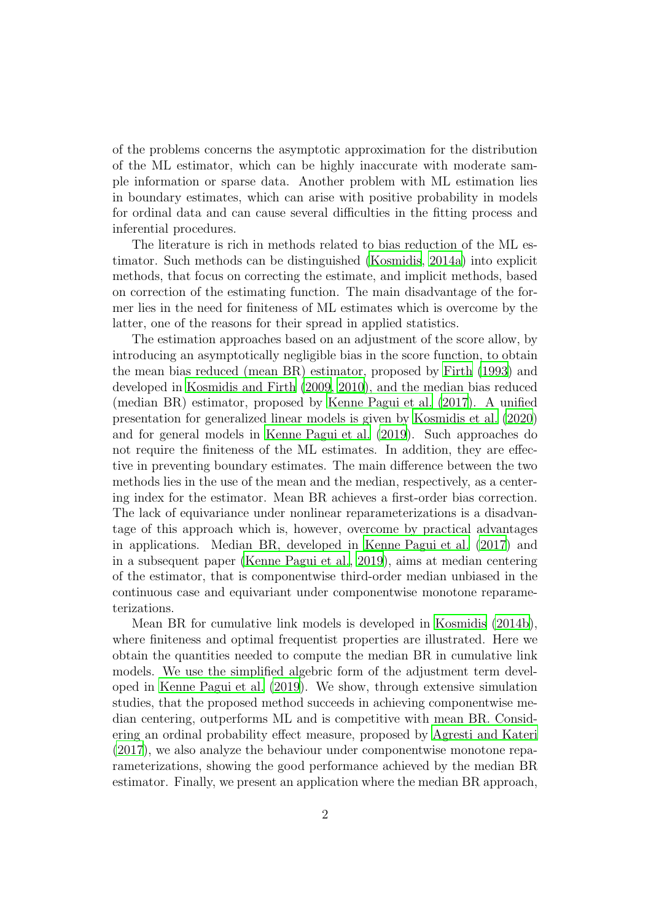of the problems concerns the asymptotic approximation for the distribution of the ML estimator, which can be highly inaccurate with moderate sample information or sparse data. Another problem with ML estimation lies in boundary estimates, which can arise with positive probability in models for ordinal data and can cause several difficulties in the fitting process and inferential procedures.

The literature is rich in methods related to bias reduction of the ML estimator. Such methods can be distinguished [\(Kosmidis](#page-10-3), [2014a\)](#page-10-3) into explicit methods, that focus on correcting the estimate, and implicit methods, based on correction of the estimating function. The main disadvantage of the former lies in the need for finiteness of ML estimates which is overcome by the latter, one of the reasons for their spread in applied statistics.

The estimation approaches based on an adjustment of the score allow, by introducing an asymptotically negligible bias in the score function, to obtain the mean bias reduced (mean BR) estimator, proposed by [Firth \(1993](#page-10-1)) and developed in [Kosmidis and Firth \(2009,](#page-10-4) [2010\)](#page-10-5), and the median bias reduced (median BR) estimator, proposed by [Kenne Pagui et al. \(2017\)](#page-10-0). A unified presentation for generalized linear models is given by [Kosmidis et al. \(2020\)](#page-10-6) and for general models in [Kenne Pagui et al. \(2019\)](#page-10-7). Such approaches do not require the finiteness of the ML estimates. In addition, they are effective in preventing boundary estimates. The main difference between the two methods lies in the use of the mean and the median, respectively, as a centering index for the estimator. Mean BR achieves a first-order bias correction. The lack of equivariance under nonlinear reparameterizations is a disadvantage of this approach which is, however, overcome by practical advantages in applications. Median BR, developed in [Kenne Pagui et al. \(2017\)](#page-10-0) and in a subsequent paper [\(Kenne Pagui et al.](#page-10-7), [2019](#page-10-7)), aims at median centering of the estimator, that is componentwise third-order median unbiased in the continuous case and equivariant under componentwise monotone reparameterizations.

Mean BR for cumulative link models is developed in [Kosmidis \(2014b\)](#page-10-8), where finiteness and optimal frequentist properties are illustrated. Here we obtain the quantities needed to compute the median BR in cumulative link models. We use the simplified algebric form of the adjustment term developed in [Kenne Pagui et al. \(2019\)](#page-10-7). We show, through extensive simulation studies, that the proposed method succeeds in achieving componentwise median centering, outperforms ML and is competitive with mean BR. Considering an ordinal probability effect measure, proposed by [Agresti and Kateri](#page-9-1) [\(2017\)](#page-9-1), we also analyze the behaviour under componentwise monotone reparameterizations, showing the good performance achieved by the median BR estimator. Finally, we present an application where the median BR approach,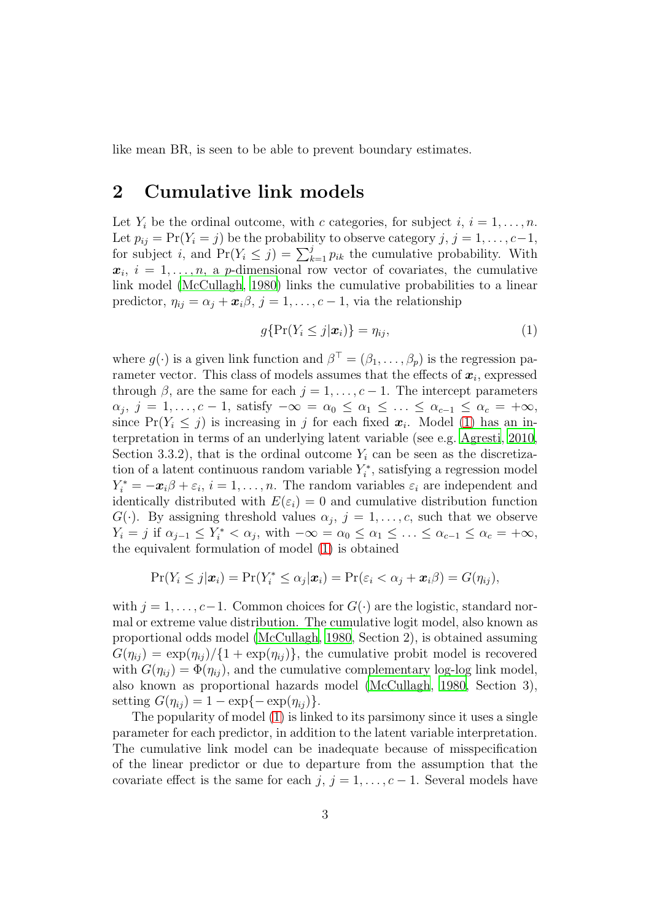like mean BR, is seen to be able to prevent boundary estimates.

### 2 Cumulative link models

Let  $Y_i$  be the ordinal outcome, with c categories, for subject i,  $i = 1, \ldots, n$ . Let  $p_{ij} = Pr(Y_i = j)$  be the probability to observe category  $j, j = 1, \ldots, c-1$ , for subject i, and  $Pr(Y_i \leq j) = \sum_{k=1}^{j} p_{ik}$  the cumulative probability. With  $x_i, i = 1, \ldots, n$ , a p-dimensional row vector of covariates, the cumulative link model [\(McCullagh, 1980\)](#page-10-2) links the cumulative probabilities to a linear predictor,  $\eta_{ij} = \alpha_j + \boldsymbol{x}_i \beta$ ,  $j = 1, \ldots, c - 1$ , via the relationship

<span id="page-2-0"></span>
$$
g\{\Pr(Y_i \le j|\boldsymbol{x}_i)\} = \eta_{ij},\tag{1}
$$

where  $g(\cdot)$  is a given link function and  $\beta^{\top} = (\beta_1, \ldots, \beta_p)$  is the regression parameter vector. This class of models assumes that the effects of  $x_i$ , expressed through  $\beta$ , are the same for each  $j = 1, \ldots, c - 1$ . The intercept parameters  $\alpha_j, j = 1, \ldots, c - 1$ , satisfy  $-\infty = \alpha_0 \leq \alpha_1 \leq \ldots \leq \alpha_{c-1} \leq \alpha_c = +\infty$ , since  $Pr(Y_i \leq j)$  is increasing in j for each fixed  $x_i$ . Model [\(1\)](#page-2-0) has an interpretation in terms of an underlying latent variable (see e.g. [Agresti, 2010](#page-9-0), Section 3.3.2), that is the ordinal outcome  $Y_i$  can be seen as the discretization of a latent continuous random variable  $Y_i^*$  $\zeta_i^*$ , satisfying a regression model  $Y_i^* = -x_i\beta + \varepsilon_i, i = 1, \ldots, n$ . The random variables  $\varepsilon_i$  are independent and identically distributed with  $E(\varepsilon_i) = 0$  and cumulative distribution function  $G(\cdot)$ . By assigning threshold values  $\alpha_j$ ,  $j = 1, \ldots, c$ , such that we observe  $Y_i = j$  if  $\alpha_{j-1} \leq Y_i^* < \alpha_j$ , with  $-\infty = \alpha_0 \leq \alpha_1 \leq \ldots \leq \alpha_{c-1} \leq \alpha_c = +\infty$ , the equivalent formulation of model [\(1\)](#page-2-0) is obtained

$$
\Pr(Y_i \leq j|\boldsymbol{x}_i) = \Pr(Y_i^* \leq \alpha_j|\boldsymbol{x}_i) = \Pr(\varepsilon_i < \alpha_j + \boldsymbol{x}_i) = G(\eta_{ij}),
$$

with  $j = 1, \ldots, c-1$ . Common choices for  $G(\cdot)$  are the logistic, standard normal or extreme value distribution. The cumulative logit model, also known as proportional odds model [\(McCullagh](#page-10-2), [1980](#page-10-2), Section 2), is obtained assuming  $G(\eta_{ij}) = \exp(\eta_{ij})/\{1 + \exp(\eta_{ij})\}\$ , the cumulative probit model is recovered with  $G(\eta_{ij}) = \Phi(\eta_{ij})$ , and the cumulative complementary log-log link model, also known as proportional hazards model [\(McCullagh](#page-10-2), [1980,](#page-10-2) Section 3), setting  $G(\eta_{ij}) = 1 - \exp\{-\exp(\eta_{ij})\}.$ 

The popularity of model [\(1\)](#page-2-0) is linked to its parsimony since it uses a single parameter for each predictor, in addition to the latent variable interpretation. The cumulative link model can be inadequate because of misspecification of the linear predictor or due to departure from the assumption that the covariate effect is the same for each j,  $j = 1, \ldots, c - 1$ . Several models have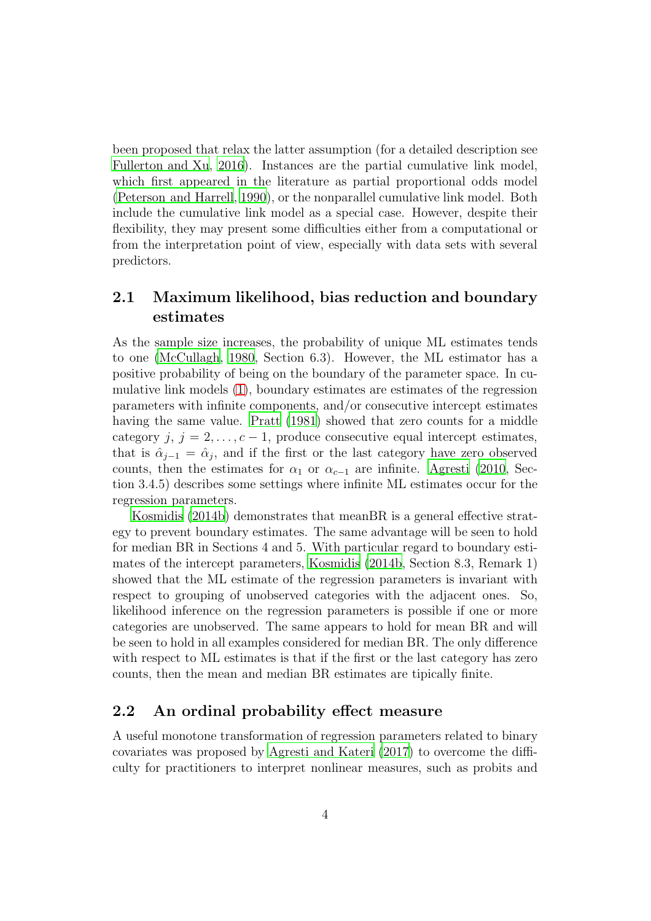been proposed that relax the latter assumption (for a detailed description see [Fullerton and Xu](#page-10-9), [2016\)](#page-10-9). Instances are the partial cumulative link model, which first appeared in the literature as partial proportional odds model [\(Peterson and Harrell, 1990](#page-10-10)), or the nonparallel cumulative link model. Both include the cumulative link model as a special case. However, despite their flexibility, they may present some difficulties either from a computational or from the interpretation point of view, especially with data sets with several predictors.

### 2.1 Maximum likelihood, bias reduction and boundary estimates

As the sample size increases, the probability of unique ML estimates tends to one [\(McCullagh](#page-10-2), [1980,](#page-10-2) Section 6.3). However, the ML estimator has a positive probability of being on the boundary of the parameter space. In cumulative link models [\(1\)](#page-2-0), boundary estimates are estimates of the regression parameters with infinite components, and/or consecutive intercept estimates having the same value. [Pratt \(1981\)](#page-11-0) showed that zero counts for a middle category j,  $j = 2, \ldots, c - 1$ , produce consecutive equal intercept estimates, that is  $\hat{\alpha}_{j-1} = \hat{\alpha}_j$ , and if the first or the last category have zero observed counts, then the estimates for  $\alpha_1$  or  $\alpha_{c-1}$  are infinite. [Agresti \(2010](#page-9-0), Section 3.4.5) describes some settings where infinite ML estimates occur for the regression parameters.

[Kosmidis \(2014b\)](#page-10-8) demonstrates that meanBR is a general effective strategy to prevent boundary estimates. The same advantage will be seen to hold for median BR in Sections 4 and 5. With particular regard to boundary estimates of the intercept parameters, [Kosmidis \(2014b](#page-10-8), Section 8.3, Remark 1) showed that the ML estimate of the regression parameters is invariant with respect to grouping of unobserved categories with the adjacent ones. So, likelihood inference on the regression parameters is possible if one or more categories are unobserved. The same appears to hold for mean BR and will be seen to hold in all examples considered for median BR. The only difference with respect to ML estimates is that if the first or the last category has zero counts, then the mean and median BR estimates are tipically finite.

#### 2.2 An ordinal probability effect measure

A useful monotone transformation of regression parameters related to binary covariates was proposed by [Agresti and Kateri \(2017\)](#page-9-1) to overcome the difficulty for practitioners to interpret nonlinear measures, such as probits and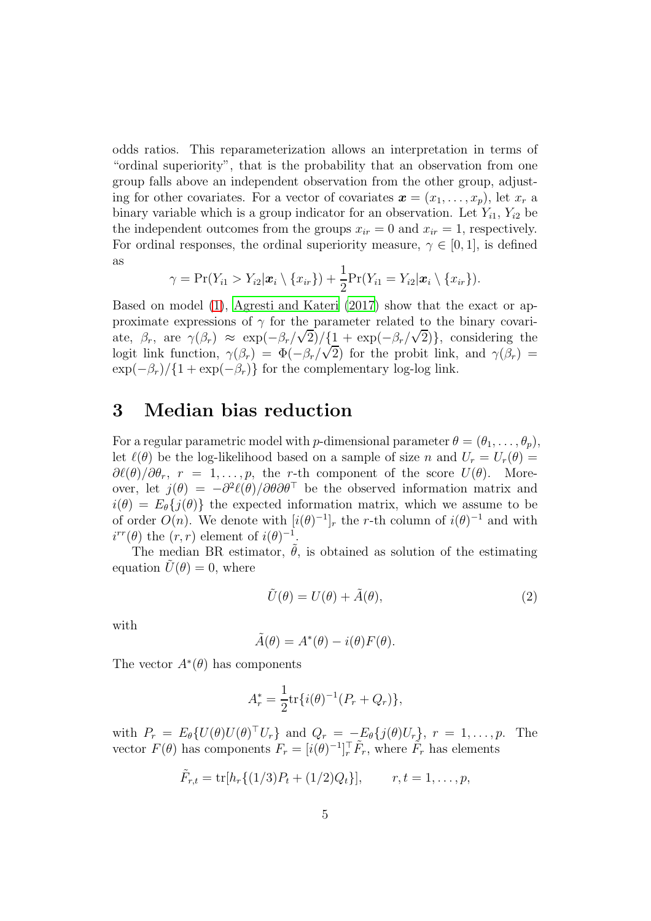odds ratios. This reparameterization allows an interpretation in terms of "ordinal superiority", that is the probability that an observation from one group falls above an independent observation from the other group, adjusting for other covariates. For a vector of covariates  $\mathbf{x} = (x_1, \ldots, x_n)$ , let  $x_r$  a binary variable which is a group indicator for an observation. Let  $Y_{i1}$ ,  $Y_{i2}$  be the independent outcomes from the groups  $x_{ir} = 0$  and  $x_{ir} = 1$ , respectively. For ordinal responses, the ordinal superiority measure,  $\gamma \in [0,1]$ , is defined as

$$
\gamma = \Pr(Y_{i1} > Y_{i2}|\boldsymbol{x}_i \setminus \{x_{ir}\}) + \frac{1}{2}\Pr(Y_{i1} = Y_{i2}|\boldsymbol{x}_i \setminus \{x_{ir}\}).
$$

Based on model [\(1\)](#page-2-0), [Agresti and Kateri \(2017](#page-9-1)) show that the exact or approximate expressions of  $\gamma$  for the parameter related to the binary covariate,  $\beta_r$ , are  $\gamma(\beta_r) \approx \exp(-\beta_r/\sqrt{2})/\{1 + \exp(-\beta_r/\sqrt{2})\}$ , considering the logit link function,  $\gamma(\beta_r) = \Phi(-\beta_r/\sqrt{2})$  for the probit link, and  $\gamma(\beta_r) =$  $\exp(-\beta_r)/\{1+\exp(-\beta_r)\}\)$  for the complementary log-log link.

### 3 Median bias reduction

For a regular parametric model with p-dimensional parameter  $\theta = (\theta_1, \ldots, \theta_p)$ , let  $\ell(\theta)$  be the log-likelihood based on a sample of size n and  $U_r = U_r(\theta)$  $\frac{\partial \ell(\theta)}{\partial \theta_r}$ ,  $r = 1, \ldots, p$ , the r-th component of the score  $U(\theta)$ . Moreover, let  $j(\theta) = -\partial^2 \ell(\theta) / \partial \theta \partial \theta^\top$  be the observed information matrix and  $i(\theta) = E_{\theta} \{j(\theta)\}\$  the expected information matrix, which we assume to be of order  $O(n)$ . We denote with  $[i(\theta)^{-1}]_r$  the r-th column of  $i(\theta)^{-1}$  and with  $i^{rr}(\theta)$  the  $(r, r)$  element of  $i(\theta)^{-1}$ .

The median BR estimator,  $\hat{\theta}$ , is obtained as solution of the estimating equation  $U(\theta) = 0$ , where

<span id="page-4-0"></span>
$$
\tilde{U}(\theta) = U(\theta) + \tilde{A}(\theta),\tag{2}
$$

with

$$
\tilde{A}(\theta) = A^*(\theta) - i(\theta)F(\theta).
$$

The vector  $A^*(\theta)$  has components

$$
A_r^* = \frac{1}{2} \text{tr} \{ i(\theta)^{-1} (P_r + Q_r) \},
$$

with  $P_r = E_{\theta} \{ U(\theta) U(\theta)^{\top} U_r \}$  and  $Q_r = -E_{\theta} \{ j(\theta) U_r \}$ ,  $r = 1, \ldots, p$ . The vector  $F(\theta)$  has components  $F_r = [i(\theta)^{-1}]_r^{\top} \tilde{F}_r$ , where  $\tilde{F}_r$  has elements

$$
\tilde{F}_{r,t} = \text{tr}[h_r\{(1/3)P_t + (1/2)Q_t\}], \qquad r, t = 1, \ldots, p,
$$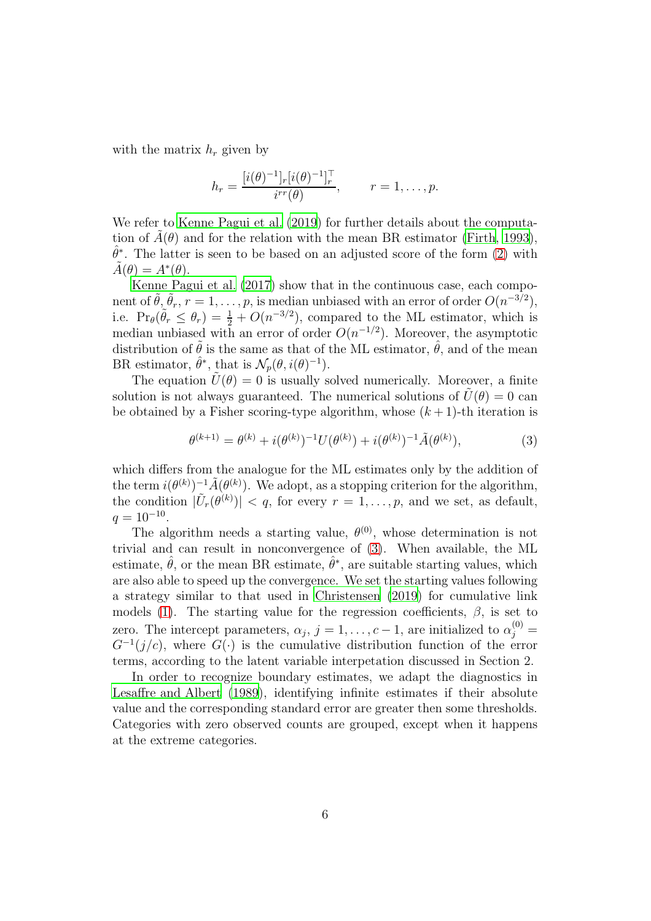with the matrix  $h_r$  given by

$$
h_r = \frac{[i(\theta)^{-1}]_r [i(\theta)^{-1}]_r^{\top}}{i^{rr}(\theta)}, \qquad r = 1, \dots, p.
$$

We refer to [Kenne Pagui et al. \(2019\)](#page-10-7) for further details about the computation of  $A(\theta)$  and for the relation with the mean BR estimator [\(Firth](#page-10-1), [1993\)](#page-10-1),  $\hat{\theta}^*$ . The latter is seen to be based on an adjusted score of the form [\(2\)](#page-4-0) with  $\tilde{A}(\theta) = A^*(\theta).$ 

[Kenne Pagui et al. \(2017](#page-10-0)) show that in the continuous case, each component of  $\tilde{\theta}$ ,  $\tilde{\theta}_r$ ,  $r = 1, \ldots, p$ , is median unbiased with an error of order  $O(n^{-3/2})$ , i.e.  $\Pr_{\theta}(\tilde{\theta}_r \leq \theta_r) = \frac{1}{2} + O(n^{-3/2})$ , compared to the ML estimator, which is median unbiased with an error of order  $O(n^{-1/2})$ . Moreover, the asymptotic distribution of  $\theta$  is the same as that of the ML estimator,  $\hat{\theta}$ , and of the mean BR estimator,  $\hat{\theta}^*$ , that is  $\mathcal{N}_p(\theta, i(\theta)^{-1})$ .

The equation  $\tilde{U}(\theta) = 0$  is usually solved numerically. Moreover, a finite solution is not always guaranteed. The numerical solutions of  $U(\theta) = 0$  can be obtained by a Fisher scoring-type algorithm, whose  $(k+1)$ -th iteration is

<span id="page-5-0"></span>
$$
\theta^{(k+1)} = \theta^{(k)} + i(\theta^{(k)})^{-1}U(\theta^{(k)}) + i(\theta^{(k)})^{-1}\tilde{A}(\theta^{(k)}),\tag{3}
$$

which differs from the analogue for the ML estimates only by the addition of the term  $i(\theta^{(k)})^{-1}\tilde{A}(\theta^{(k)})$ . We adopt, as a stopping criterion for the algorithm, the condition  $|\tilde{U}_r(\theta^{(k)})| < q$ , for every  $r = 1, \ldots, p$ , and we set, as default,  $q = 10^{-10}$ .

The algorithm needs a starting value,  $\theta^{(0)}$ , whose determination is not trivial and can result in nonconvergence of [\(3\)](#page-5-0). When available, the ML estimate,  $\hat{\theta}$ , or the mean BR estimate,  $\hat{\theta}^*$ , are suitable starting values, which are also able to speed up the convergence. We set the starting values following a strategy similar to that used in [Christensen \(2019\)](#page-10-11) for cumulative link models [\(1\)](#page-2-0). The starting value for the regression coefficients,  $\beta$ , is set to zero. The intercept parameters,  $\alpha_j$ ,  $j = 1, \ldots, c-1$ , are initialized to  $\alpha_j^{(0)} =$  $G^{-1}(j/c)$ , where  $G(\cdot)$  is the cumulative distribution function of the error terms, according to the latent variable interpetation discussed in Section 2.

In order to recognize boundary estimates, we adapt the diagnostics in [Lesaffre and Albert \(1989](#page-10-12)), identifying infinite estimates if their absolute value and the corresponding standard error are greater then some thresholds. Categories with zero observed counts are grouped, except when it happens at the extreme categories.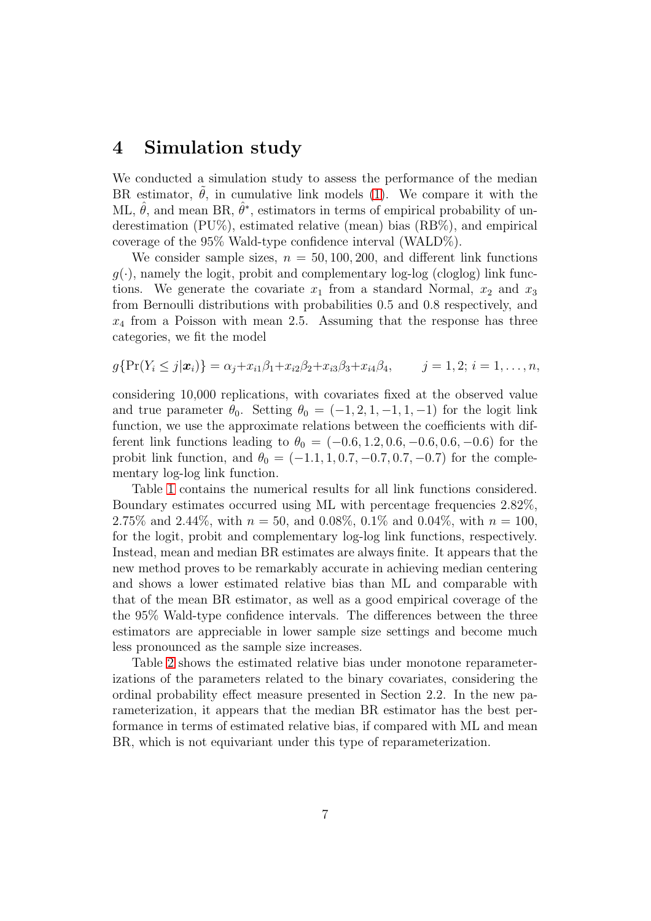### 4 Simulation study

We conducted a simulation study to assess the performance of the median BR estimator,  $\theta$ , in cumulative link models [\(1\)](#page-2-0). We compare it with the ML,  $\hat{\theta}$ , and mean BR,  $\hat{\theta}^*$ , estimators in terms of empirical probability of underestimation (PU%), estimated relative (mean) bias (RB%), and empirical coverage of the 95% Wald-type confidence interval (WALD%).

We consider sample sizes,  $n = 50, 100, 200$ , and different link functions  $g(\cdot)$ , namely the logit, probit and complementary log-log (cloglog) link functions. We generate the covariate  $x_1$  from a standard Normal,  $x_2$  and  $x_3$ from Bernoulli distributions with probabilities 0.5 and 0.8 respectively, and  $x_4$  from a Poisson with mean 2.5. Assuming that the response has three categories, we fit the model

$$
g\{\Pr(Y_i \leq j|\mathbf{x}_i)\} = \alpha_j + x_{i1}\beta_1 + x_{i2}\beta_2 + x_{i3}\beta_3 + x_{i4}\beta_4, \qquad j = 1, 2; i = 1, \ldots, n,
$$

considering 10,000 replications, with covariates fixed at the observed value and true parameter  $\theta_0$ . Setting  $\theta_0 = (-1, 2, 1, -1, 1, -1)$  for the logit link function, we use the approximate relations between the coefficients with different link functions leading to  $\theta_0 = (-0.6, 1.2, 0.6, -0.6, 0.6, -0.6)$  for the probit link function, and  $\theta_0 = (-1.1, 1, 0.7, -0.7, 0.7, -0.7)$  for the complementary log-log link function.

Table [1](#page-7-0) contains the numerical results for all link functions considered. Boundary estimates occurred using ML with percentage frequencies 2.82%, 2.75% and 2.44%, with  $n = 50$ , and 0.08%, 0.1% and 0.04%, with  $n = 100$ , for the logit, probit and complementary log-log link functions, respectively. Instead, mean and median BR estimates are always finite. It appears that the new method proves to be remarkably accurate in achieving median centering and shows a lower estimated relative bias than ML and comparable with that of the mean BR estimator, as well as a good empirical coverage of the the 95% Wald-type confidence intervals. The differences between the three estimators are appreciable in lower sample size settings and become much less pronounced as the sample size increases.

Table [2](#page-8-0) shows the estimated relative bias under monotone reparameterizations of the parameters related to the binary covariates, considering the ordinal probability effect measure presented in Section 2.2. In the new parameterization, it appears that the median BR estimator has the best performance in terms of estimated relative bias, if compared with ML and mean BR, which is not equivariant under this type of reparameterization.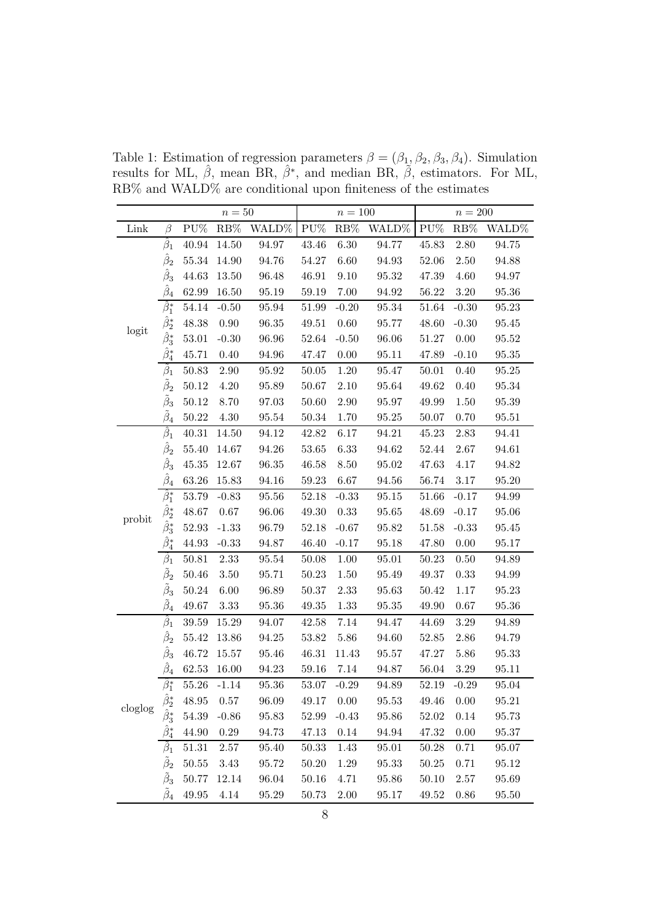|                         |                                      | $n=50$    |          |                      | $n = 100$ |          |                      | $n=200$         |                 |       |
|-------------------------|--------------------------------------|-----------|----------|----------------------|-----------|----------|----------------------|-----------------|-----------------|-------|
| Link                    | $\beta$                              | PU%       | $RB\%$   | WALD% PU%            |           |          | RB% WALD%            | $\mathrm{PU}\%$ | $\mathrm{RB}\%$ | WALD% |
| logit                   | $\hat{\beta}_1$                      | 40.94     | 14.50    | 94.97                | 43.46     | $6.30\,$ | 94.77                | 45.83           | 2.80            | 94.75 |
|                         | $\hat{\beta}_2$                      | 55.34     | 14.90    | 94.76                | 54.27     | 6.60     | 94.93                | $52.06\,$       | 2.50            | 94.88 |
|                         | $\hat{\beta}_3$                      | 44.63     | 13.50    | 96.48                | 46.91     | 9.10     | 95.32                | 47.39           | 4.60            | 94.97 |
|                         | $\hat{\beta}_4$                      | 62.99     | 16.50    | 95.19                | 59.19     | 7.00     | 94.92                | 56.22           | $3.20\,$        | 95.36 |
|                         | $\hat{\beta}^*_1$                    | 54.14     | $-0.50$  | 95.94                | 51.99     | $-0.20$  | 95.34                | 51.64           | $-0.30$         | 95.23 |
|                         | $\hat{\beta}^*_2$                    | 48.38     | $0.90\,$ | 96.35                | 49.51     | 0.60     | 95.77                | 48.60           | $-0.30$         | 95.45 |
|                         | $\hat{\beta}^*_3$                    | 53.01     | $-0.30$  | 96.96                | 52.64     | $-0.50$  | 96.06                | 51.27           | 0.00            | 95.52 |
|                         | $\hat{\beta}_4^*$                    | 45.71     | 0.40     | 94.96                | 47.47     | 0.00     | 95.11                | 47.89           | $-0.10$         | 95.35 |
|                         | $\beta_1$                            | 50.83     | 2.90     | 95.92                | 50.05     | 1.20     | 95.47                | 50.01           | 0.40            | 95.25 |
|                         | $\tilde{\beta}_2$                    | 50.12     | 4.20     | 95.89                | 50.67     | 2.10     | 95.64                | 49.62           | 0.40            | 95.34 |
|                         | $\tilde{\beta}_3$                    | 50.12     | 8.70     | 97.03                | 50.60     | 2.90     | 95.97                | 49.99           | 1.50            | 95.39 |
|                         | $\tilde{\beta}_4$                    | 50.22     | 4.30     | 95.54                | 50.34     | 1.70     | 95.25                | 50.07           | 0.70            | 95.51 |
|                         | $\hat{\beta}_1$                      | 40.31     | 14.50    | 94.12                | 42.82     | 6.17     | 94.21                | 45.23           | $2.83\,$        | 94.41 |
|                         | $\hat{\beta}_2$                      | 55.40     | 14.67    | 94.26                | $53.65\,$ | $6.33\,$ | 94.62                | 52.44           | 2.67            | 94.61 |
|                         | $\hat{\beta}_3$                      | 45.35     | 12.67    | $96.35\,$            | 46.58     | 8.50     | 95.02                | 47.63           | 4.17            | 94.82 |
|                         | $\hat{\beta}_4$                      | 63.26     | 15.83    | 94.16                | 59.23     | 6.67     | 94.56                | 56.74           | $3.17\,$        | 95.20 |
|                         | $\hat{\beta}^*_1$                    | 53.79     | $-0.83$  | 95.56                | 52.18     | $-0.33$  | 95.15                | 51.66           | $-0.17$         | 94.99 |
| $\operatorname{probit}$ | $\hat{\beta}^*_2$                    | 48.67     | $0.67\,$ | 96.06                | 49.30     | $0.33\,$ | $\boldsymbol{95.65}$ | 48.69           | $-0.17$         | 95.06 |
|                         | $\hat{\beta}^*_3$                    | 52.93     | $-1.33$  | 96.79                | 52.18     | $-0.67$  | 95.82                | 51.58           | $-0.33$         | 95.45 |
|                         | $\hat{\beta}_4^*$                    | 44.93     | $-0.33$  | 94.87                | 46.40     | $-0.17$  | 95.18                | 47.80           | 0.00            | 95.17 |
|                         | $\beta_1$                            | 50.81     | 2.33     | 95.54                | 50.08     | 1.00     | 95.01                | 50.23           | 0.50            | 94.89 |
|                         | $\tilde{\beta}_2$                    | 50.46     | 3.50     | 95.71                | 50.23     | 1.50     | 95.49                | 49.37           | 0.33            | 94.99 |
|                         | $\tilde{\beta}_3$                    | 50.24     | $6.00\,$ | 96.89                | 50.37     | $2.33\,$ | $\boldsymbol{95.63}$ | 50.42           | 1.17            | 95.23 |
|                         | $\tilde{\beta}_4$                    | 49.67     | 3.33     | 95.36                | 49.35     | 1.33     | 95.35                | 49.90           | $0.67\,$        | 95.36 |
| cloglog                 | $\hat{\beta}_1$                      | 39.59     | 15.29    | 94.07                | 42.58     | 7.14     | 94.47                | 44.69           | $3.29\,$        | 94.89 |
|                         | $\hat{\beta}_2$                      | 55.42     | 13.86    | 94.25                | 53.82     | 5.86     | 94.60                | 52.85           | 2.86            | 94.79 |
|                         | $\hat{\beta}_3$                      | 46.72     | 15.57    | 95.46                | 46.31     | 11.43    | 95.57                | 47.27           | 5.86            | 95.33 |
|                         | $\hat{\beta}_4$                      | 62.53     | 16.00    | 94.23                | $59.16\,$ | 7.14     | $94.87\,$            | 56.04           | 3.29            | 95.11 |
|                         | $\hat{\beta}_1^*$                    | $55.26\,$ | $-1.14$  | 95.36                | 53.07     | $-0.29$  | 94.89                | 52.19           | $-0.29$         | 95.04 |
|                         | $\hat{\beta}^*_2 \\ \hat{\beta}^*_3$ | 48.95     | 0.57     | 96.09                | 49.17     | 0.00     | 95.53                | 49.46           | 0.00            | 95.21 |
|                         |                                      | 54.39     | $-0.86$  | $\boldsymbol{95.83}$ | 52.99     | $-0.43$  | 95.86                | 52.02           | 0.14            | 95.73 |
|                         |                                      | 44.90     | $0.29\,$ | 94.73                | 47.13     | 0.14     | 94.94                | 47.32           | $0.00\,$        | 95.37 |
|                         | $\beta_1$                            | 51.31     | 2.57     | 95.40                | 50.33     | 1.43     | 95.01                | 50.28           | 0.71            | 95.07 |
|                         | $\tilde{\beta}_2$                    | 50.55     | 3.43     | 95.72                | 50.20     | 1.29     | 95.33                | $50.25\,$       | 0.71            | 95.12 |
|                         | $\tilde{\beta}_3$                    | 50.77     | 12.14    | 96.04                | 50.16     | 4.71     | 95.86                | $50.10\,$       | $2.57\,$        | 95.69 |
|                         | $\tilde{\beta}_4$                    | 49.95     | 4.14     | 95.29                | 50.73     | $2.00\,$ | 95.17                | $\!9.52\!$      | 0.86            | 95.50 |

<span id="page-7-0"></span>Table 1: Estimation of regression parameters  $\beta = (\beta_1, \beta_2, \beta_3, \beta_4)$ . Simulation results for ML,  $\hat{\beta}$ , mean BR,  $\hat{\beta}^*$ , and median BR,  $\tilde{\beta}$ , estimators. For ML, RB% and WALD% are conditional upon finiteness of the estimates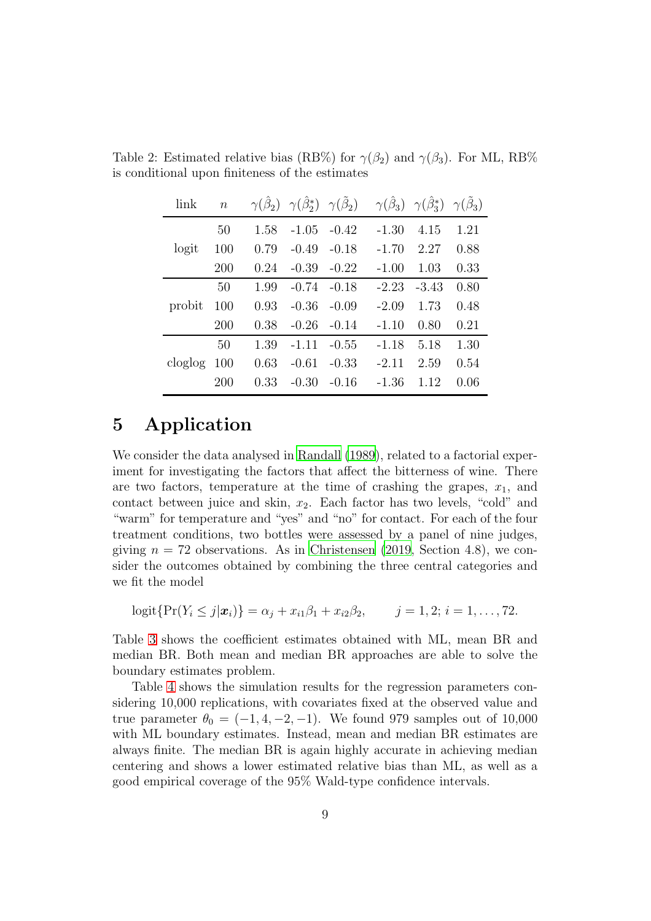<span id="page-8-0"></span>

| link    | $\boldsymbol{n}$ |      |         |         | $\gamma(\hat{\beta}_2)$ $\gamma(\hat{\beta}_2^*)$ $\gamma(\tilde{\beta}_2)$ $\gamma(\hat{\beta}_3)$ $\gamma(\hat{\beta}_3^*)$ $\gamma(\tilde{\beta}_3)$ |         |      |
|---------|------------------|------|---------|---------|---------------------------------------------------------------------------------------------------------------------------------------------------------|---------|------|
|         | 50               | 1.58 | $-1.05$ | $-0.42$ | $-1.30$                                                                                                                                                 | 4.15    | 1.21 |
| logit   | 100              | 0.79 | $-0.49$ | $-0.18$ | $-1.70$                                                                                                                                                 | 2.27    | 0.88 |
|         | <b>200</b>       | 0.24 | $-0.39$ | $-0.22$ | $-1.00$                                                                                                                                                 | 1.03    | 0.33 |
|         | 50               | 1.99 | $-0.74$ | $-0.18$ | $-2.23$                                                                                                                                                 | $-3.43$ | 0.80 |
| probit  | 100              | 0.93 | $-0.36$ | $-0.09$ | $-2.09$                                                                                                                                                 | 1.73    | 0.48 |
|         | <b>200</b>       | 0.38 | $-0.26$ | $-0.14$ | $-1.10$                                                                                                                                                 | 0.80    | 0.21 |
|         | 50               | 1.39 | $-1.11$ | $-0.55$ | $-1.18$                                                                                                                                                 | 5.18    | 1.30 |
| cloglog | 100              | 0.63 | $-0.61$ | $-0.33$ | $-2.11$                                                                                                                                                 | 2.59    | 0.54 |
|         | 200              | 0.33 | $-0.30$ | $-0.16$ | -1.36                                                                                                                                                   | 1.12    | 0.06 |

Table 2: Estimated relative bias (RB%) for  $\gamma(\beta_2)$  and  $\gamma(\beta_3)$ . For ML, RB% is conditional upon finiteness of the estimates

### 5 Application

We consider the data analysed in [Randall \(1989\)](#page-11-1), related to a factorial experiment for investigating the factors that affect the bitterness of wine. There are two factors, temperature at the time of crashing the grapes,  $x_1$ , and contact between juice and skin,  $x_2$ . Each factor has two levels, "cold" and "warm" for temperature and "yes" and "no" for contact. For each of the four treatment conditions, two bottles were assessed by a panel of nine judges, giving  $n = 72$  observations. As in [Christensen \(2019,](#page-10-11) Section 4.8), we consider the outcomes obtained by combining the three central categories and we fit the model

$$
logit\{Pr(Y_i \leq j|\bm{x}_i)\} = \alpha_j + x_{i1}\beta_1 + x_{i2}\beta_2, \qquad j = 1, 2; i = 1, ..., 72.
$$

Table [3](#page-9-2) shows the coefficient estimates obtained with ML, mean BR and median BR. Both mean and median BR approaches are able to solve the boundary estimates problem.

Table [4](#page-9-3) shows the simulation results for the regression parameters considering 10,000 replications, with covariates fixed at the observed value and true parameter  $\theta_0 = (-1, 4, -2, -1)$ . We found 979 samples out of 10,000 with ML boundary estimates. Instead, mean and median BR estimates are always finite. The median BR is again highly accurate in achieving median centering and shows a lower estimated relative bias than ML, as well as a good empirical coverage of the 95% Wald-type confidence intervals.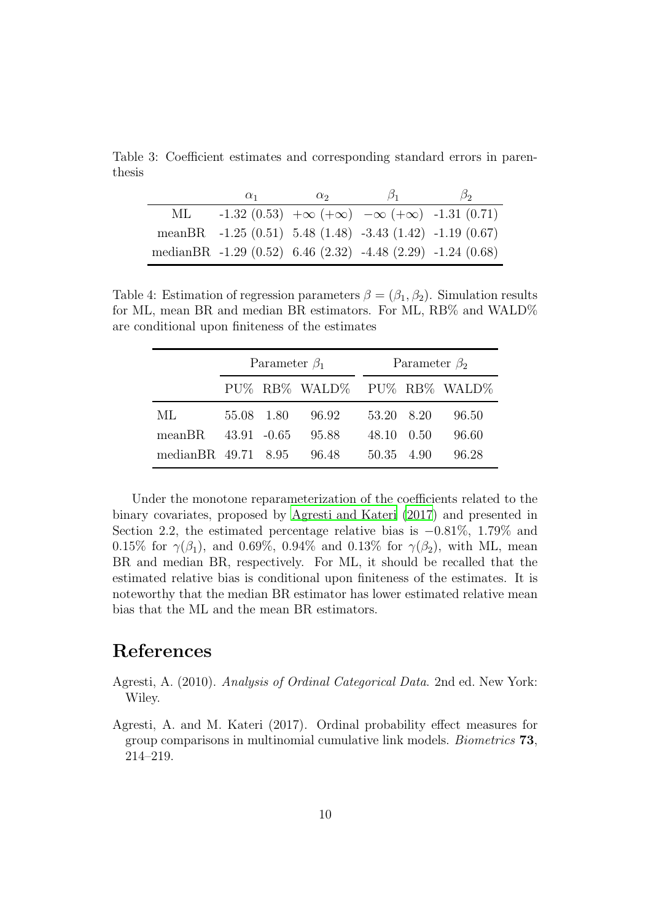Table 3: Coefficient estimates and corresponding standard errors in parenthesis

<span id="page-9-2"></span>

|     | $\alpha_1$                                                              | $\alpha_2$ | $\beta_1$                                                     | $\beta_2$ |
|-----|-------------------------------------------------------------------------|------------|---------------------------------------------------------------|-----------|
| ML. |                                                                         |            | $-1.32(0.53) +\infty (+\infty) -\infty (+\infty) -1.31(0.71)$ |           |
|     | meanBR $-1.25(0.51)$ 5.48 (1.48) $-3.43(1.42)$ $-1.19(0.67)$            |            |                                                               |           |
|     | median <sub>BR</sub> -1.29 (0.52) 6.46 (2.32) -4.48 (2.29) -1.24 (0.68) |            |                                                               |           |

<span id="page-9-3"></span>Table 4: Estimation of regression parameters  $\beta = (\beta_1, \beta_2)$ . Simulation results for ML, mean BR and median BR estimators. For ML, RB% and WALD% are conditional upon finiteness of the estimates

|                                     | Parameter $\beta_1$ |  |                             |  | Parameter $\beta_2$ |  |       |  |
|-------------------------------------|---------------------|--|-----------------------------|--|---------------------|--|-------|--|
|                                     |                     |  | PU% RB% WALD% PU% RB% WALD% |  |                     |  |       |  |
| ML.                                 | 55.08 1.80          |  | 96.92                       |  | 53.20 8.20          |  | 96.50 |  |
| meanBR.                             | $43.91 - 0.65$      |  | 95.88                       |  | 48.10 0.50          |  | 96.60 |  |
| median <sub>BR</sub> $49.71$ $8.95$ |                     |  | 96.48                       |  | 50.35 4.90          |  | 96.28 |  |

Under the monotone reparameterization of the coefficients related to the binary covariates, proposed by [Agresti and Kateri \(2017\)](#page-9-1) and presented in Section 2.2, the estimated percentage relative bias is −0.81%, 1.79% and 0.15% for  $\gamma(\beta_1)$ , and 0.69%, 0.94% and 0.13% for  $\gamma(\beta_2)$ , with ML, mean BR and median BR, respectively. For ML, it should be recalled that the estimated relative bias is conditional upon finiteness of the estimates. It is noteworthy that the median BR estimator has lower estimated relative mean bias that the ML and the mean BR estimators.

## References

- <span id="page-9-0"></span>Agresti, A. (2010). *Analysis of Ordinal Categorical Data*. 2nd ed. New York: Wiley.
- <span id="page-9-1"></span>Agresti, A. and M. Kateri (2017). Ordinal probability effect measures for group comparisons in multinomial cumulative link models. *Biometrics* 73, 214–219.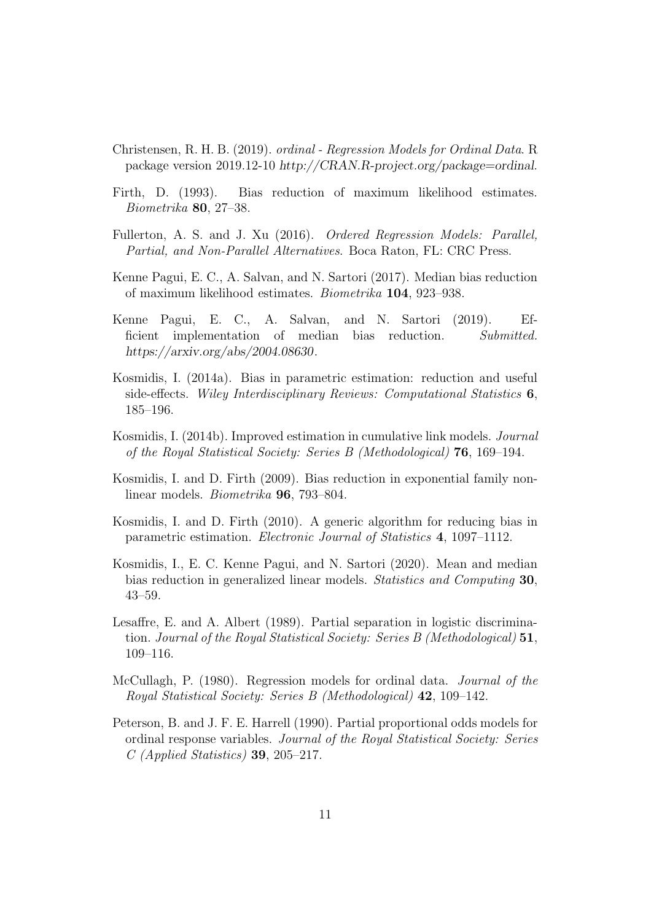- <span id="page-10-11"></span>Christensen, R. H. B. (2019). *ordinal - Regression Models for Ordinal Data*. R package version 2019.12-10 *http://CRAN.R-project.org/package=ordinal*.
- <span id="page-10-1"></span>Firth, D. (1993). Bias reduction of maximum likelihood estimates. *Biometrika* 80, 27–38.
- <span id="page-10-9"></span>Fullerton, A. S. and J. Xu (2016). *Ordered Regression Models: Parallel, Partial, and Non-Parallel Alternatives*. Boca Raton, FL: CRC Press.
- <span id="page-10-0"></span>Kenne Pagui, E. C., A. Salvan, and N. Sartori (2017). Median bias reduction of maximum likelihood estimates. *Biometrika* 104, 923–938.
- <span id="page-10-7"></span>Kenne Pagui, E. C., A. Salvan, and N. Sartori (2019). Efficient implementation of median bias reduction. *Submitted. https://arxiv.org/abs/2004.08630*.
- <span id="page-10-3"></span>Kosmidis, I. (2014a). Bias in parametric estimation: reduction and useful side-effects. *Wiley Interdisciplinary Reviews: Computational Statistics* 6, 185–196.
- <span id="page-10-8"></span>Kosmidis, I. (2014b). Improved estimation in cumulative link models. *Journal of the Royal Statistical Society: Series B (Methodological)* 76, 169–194.
- <span id="page-10-4"></span>Kosmidis, I. and D. Firth (2009). Bias reduction in exponential family nonlinear models. *Biometrika* 96, 793–804.
- <span id="page-10-5"></span>Kosmidis, I. and D. Firth (2010). A generic algorithm for reducing bias in parametric estimation. *Electronic Journal of Statistics* 4, 1097–1112.
- <span id="page-10-6"></span>Kosmidis, I., E. C. Kenne Pagui, and N. Sartori (2020). Mean and median bias reduction in generalized linear models. *Statistics and Computing* 30, 43–59.
- <span id="page-10-12"></span>Lesaffre, E. and A. Albert (1989). Partial separation in logistic discrimination. *Journal of the Royal Statistical Society: Series B (Methodological)* 51, 109–116.
- <span id="page-10-2"></span>McCullagh, P. (1980). Regression models for ordinal data. *Journal of the Royal Statistical Society: Series B (Methodological)* 42, 109–142.
- <span id="page-10-10"></span>Peterson, B. and J. F. E. Harrell (1990). Partial proportional odds models for ordinal response variables. *Journal of the Royal Statistical Society: Series C (Applied Statistics)* 39, 205–217.